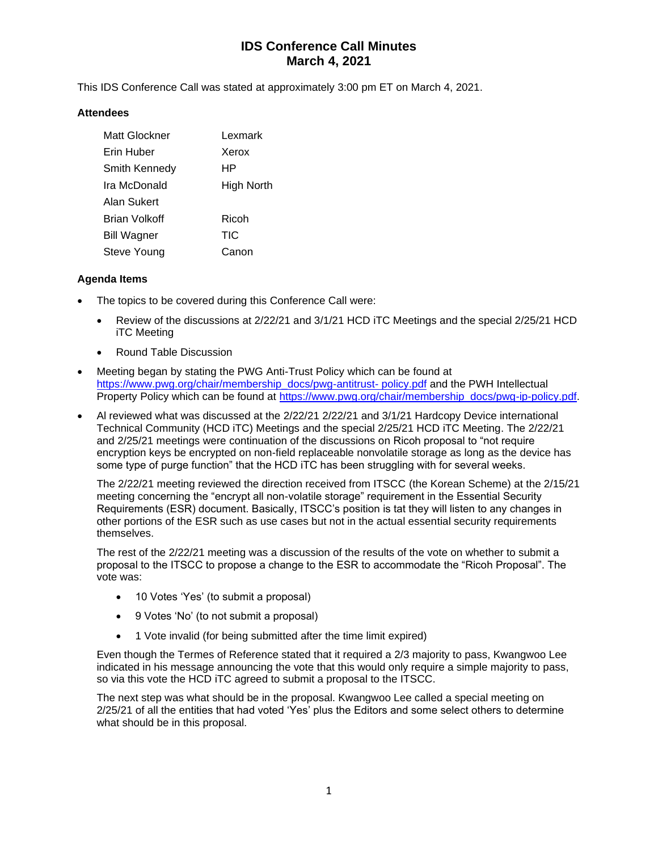This IDS Conference Call was stated at approximately 3:00 pm ET on March 4, 2021.

### **Attendees**

| Matt Glockner      | Lexmark    |
|--------------------|------------|
| Erin Huber         | Xerox      |
| Smith Kennedy      | HР         |
| Ira McDonald       | High North |
| Alan Sukert        |            |
| Brian Volkoff      | Ricoh      |
| <b>Bill Wagner</b> | TIC        |
| Steve Young        | Canon      |

### **Agenda Items**

- The topics to be covered during this Conference Call were:
	- Review of the discussions at 2/22/21 and 3/1/21 HCD iTC Meetings and the special 2/25/21 HCD iTC Meeting
	- Round Table Discussion
- Meeting began by stating the PWG Anti-Trust Policy which can be found at [https://www.pwg.org/chair/membership\\_docs/pwg-antitrust-](https://www.pwg.org/chair/membership_docs/pwg-antitrust-%20policy.pdf) policy.pdf and the PWH Intellectual Property Policy which can be found at [https://www.pwg.org/chair/membership\\_docs/pwg-ip-policy.pdf.](https://www.pwg.org/chair/membership_docs/pwg-ip-policy.pdf)
- Al reviewed what was discussed at the 2/22/21 2/22/21 and 3/1/21 Hardcopy Device international Technical Community (HCD iTC) Meetings and the special 2/25/21 HCD iTC Meeting. The 2/22/21 and 2/25/21 meetings were continuation of the discussions on Ricoh proposal to "not require encryption keys be encrypted on non-field replaceable nonvolatile storage as long as the device has some type of purge function" that the HCD iTC has been struggling with for several weeks.

The 2/22/21 meeting reviewed the direction received from ITSCC (the Korean Scheme) at the 2/15/21 meeting concerning the "encrypt all non-volatile storage" requirement in the Essential Security Requirements (ESR) document. Basically, ITSCC's position is tat they will listen to any changes in other portions of the ESR such as use cases but not in the actual essential security requirements themselves.

The rest of the 2/22/21 meeting was a discussion of the results of the vote on whether to submit a proposal to the ITSCC to propose a change to the ESR to accommodate the "Ricoh Proposal". The vote was:

- 10 Votes 'Yes' (to submit a proposal)
- 9 Votes 'No' (to not submit a proposal)
- 1 Vote invalid (for being submitted after the time limit expired)

Even though the Termes of Reference stated that it required a 2/3 majority to pass, Kwangwoo Lee indicated in his message announcing the vote that this would only require a simple majority to pass, so via this vote the HCD iTC agreed to submit a proposal to the ITSCC.

The next step was what should be in the proposal. Kwangwoo Lee called a special meeting on 2/25/21 of all the entities that had voted 'Yes' plus the Editors and some select others to determine what should be in this proposal.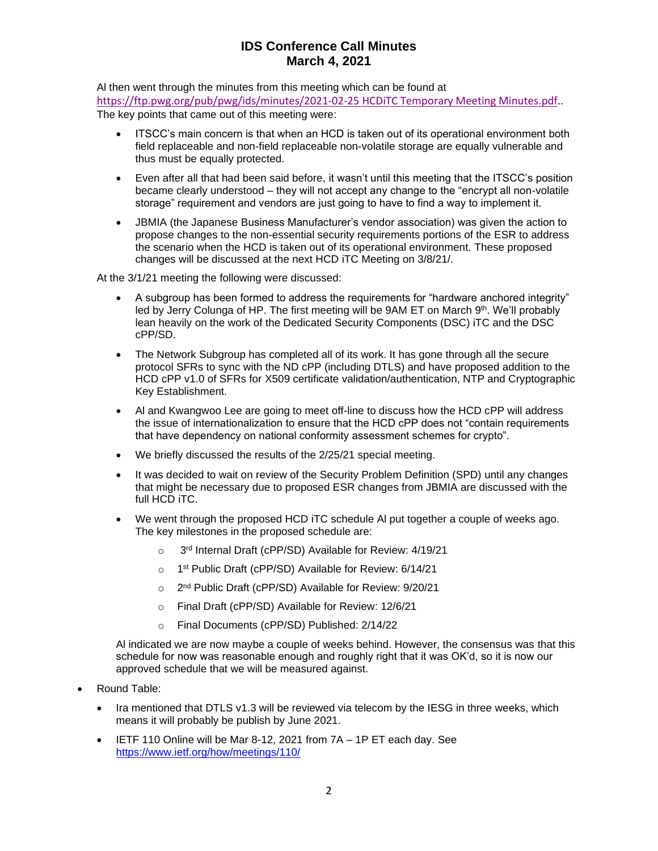Al then went through the minutes from this meeting which can be found at

[https://ftp.pwg.org/pub/pwg/ids/minutes/2021-02-25 HCDiTC Temporary Meeting Minutes.pdf.](https://ftp.pwg.org/pub/pwg/ids/minutes/2021-02-25%20HCDiTC%20Temporary%20Meeting%20Minutes.pdf). The key points that came out of this meeting were:

- ITSCC's main concern is that when an HCD is taken out of its operational environment both field replaceable and non-field replaceable non-volatile storage are equally vulnerable and thus must be equally protected.
- Even after all that had been said before, it wasn't until this meeting that the ITSCC's position became clearly understood – they will not accept any change to the "encrypt all non-volatile storage" requirement and vendors are just going to have to find a way to implement it.
- JBMIA (the Japanese Business Manufacturer's vendor association) was given the action to propose changes to the non-essential security requirements portions of the ESR to address the scenario when the HCD is taken out of its operational environment. These proposed changes will be discussed at the next HCD iTC Meeting on 3/8/21/.

At the 3/1/21 meeting the following were discussed:

- A subgroup has been formed to address the requirements for "hardware anchored integrity" led by Jerry Colunga of HP. The first meeting will be  $9AM ET$  on March  $9<sup>th</sup>$ . We'll probably lean heavily on the work of the Dedicated Security Components (DSC) iTC and the DSC cPP/SD.
- The Network Subgroup has completed all of its work. It has gone through all the secure protocol SFRs to sync with the ND cPP (including DTLS) and have proposed addition to the HCD cPP v1.0 of SFRs for X509 certificate validation/authentication, NTP and Cryptographic Key Establishment.
- Al and Kwangwoo Lee are going to meet off-line to discuss how the HCD cPP will address the issue of internationalization to ensure that the HCD cPP does not "contain requirements that have dependency on national conformity assessment schemes for crypto".
- We briefly discussed the results of the 2/25/21 special meeting.
- It was decided to wait on review of the Security Problem Definition (SPD) until any changes that might be necessary due to proposed ESR changes from JBMIA are discussed with the full HCD iTC.
- We went through the proposed HCD iTC schedule Al put together a couple of weeks ago. The key milestones in the proposed schedule are:
	- $\circ$ 3rd Internal Draft (cPP/SD) Available for Review: 4/19/21
	- o 1<sup>st</sup> Public Draft (cPP/SD) Available for Review: 6/14/21
	- o 2<sup>nd</sup> Public Draft (cPP/SD) Available for Review: 9/20/21
	- o Final Draft (cPP/SD) Available for Review: 12/6/21
	- o Final Documents (cPP/SD) Published: 2/14/22

Al indicated we are now maybe a couple of weeks behind. However, the consensus was that this schedule for now was reasonable enough and roughly right that it was OK'd, so it is now our approved schedule that we will be measured against.

- Round Table:
	- Ira mentioned that DTLS v1.3 will be reviewed via telecom by the IESG in three weeks, which means it will probably be publish by June 2021.
	- IETF 110 Online will be Mar 8-12, 2021 from 7A 1P ET each day. See <https://www.ietf.org/how/meetings/110/>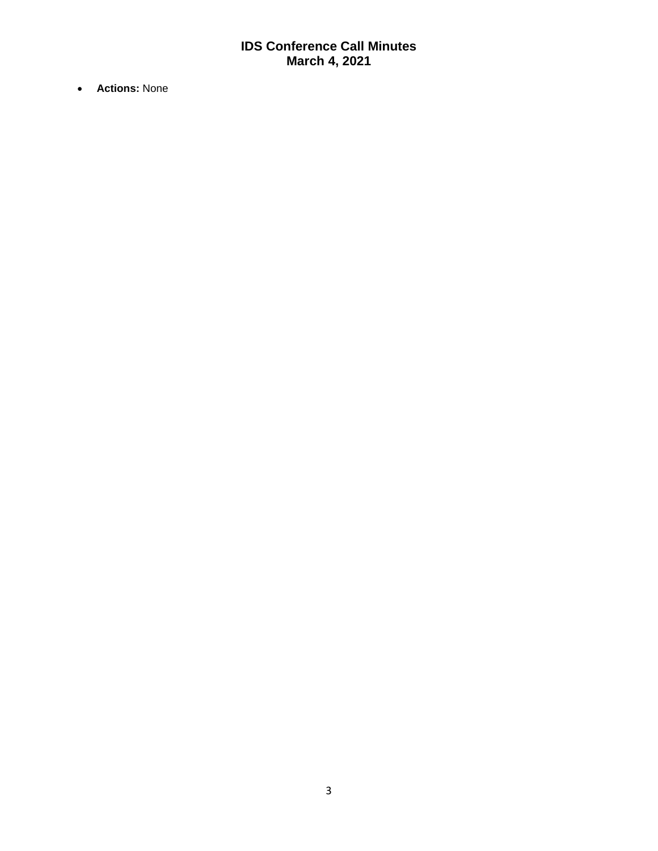• **Actions:** None